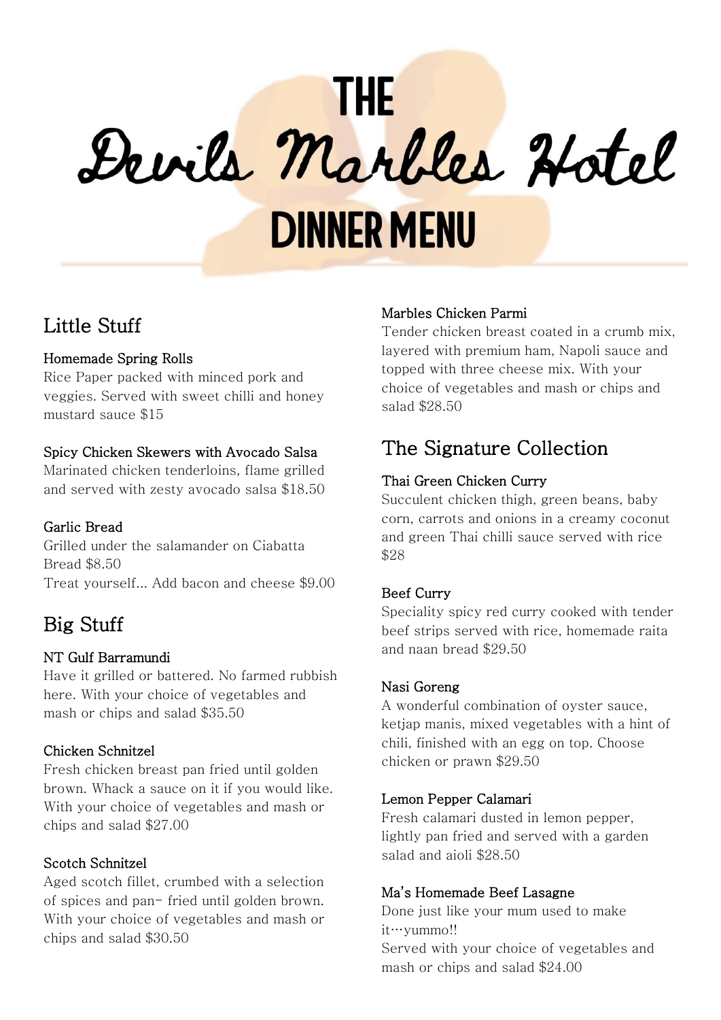# **THE** Devils Marbles Hotel **DINNER MENU**

# Little Stuff

# Homemade Spring Rolls

Rice Paper packed with minced pork and veggies. Served with sweet chilli and honey mustard sauce \$15

# Spicy Chicken Skewers with Avocado Salsa

Marinated chicken tenderloins, flame grilled and served with zesty avocado salsa \$18.50

# Garlic Bread

Grilled under the salamander on Ciabatta Bread \$8.50 Treat yourself... Add bacon and cheese \$9.00

# Big Stuff

## NT Gulf Barramundi

Have it grilled or battered. No farmed rubbish here. With your choice of vegetables and mash or chips and salad \$35.50

# Chicken Schnitzel

Fresh chicken breast pan fried until golden brown. Whack a sauce on it if you would like. With your choice of vegetables and mash or chips and salad \$27.00

# Scotch Schnitzel

Aged scotch fillet, crumbed with a selection of spices and pan- fried until golden brown. With your choice of vegetables and mash or chips and salad \$30.50

## Marbles Chicken Parmi

Tender chicken breast coated in a crumb mix, layered with premium ham, Napoli sauce and topped with three cheese mix. With your choice of vegetables and mash or chips and salad \$28.50

# The Signature Collection

# Thai Green Chicken Curry

Succulent chicken thigh, green beans, baby corn, carrots and onions in a creamy coconut and green Thai chilli sauce served with rice \$28

# Beef Curry

Speciality spicy red curry cooked with tender beef strips served with rice, homemade raita and naan bread \$29.50

## Nasi Goreng

A wonderful combination of oyster sauce, ketjap manis, mixed vegetables with a hint of chili, finished with an egg on top. Choose chicken or prawn \$29.50

## Lemon Pepper Calamari

Fresh calamari dusted in lemon pepper, lightly pan fried and served with a garden salad and aioli \$28.50

# Ma's Homemade Beef Lasagne

Done just like your mum used to make it…yummo!! Served with your choice of vegetables and mash or chips and salad \$24.00